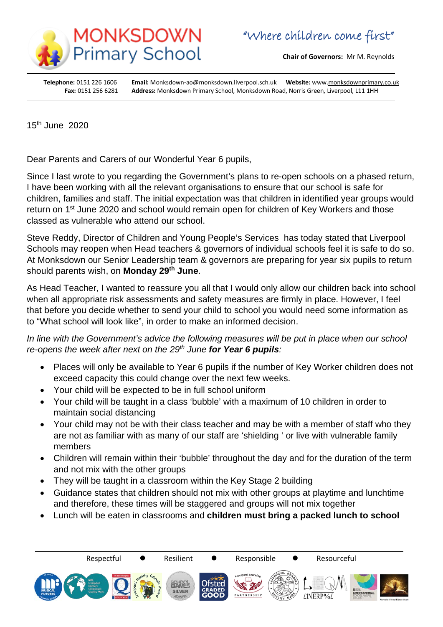

**Chair of Governors:** Mr M. Reynolds

**Telephone:** 0151 226 1606 **Email:** Monksdown-ao@monksdown.liverpool.sch.uk **Website:** ww[w.monksdownprimary.co.uk](http://www.monksdownprimary.co.uk/) **Fax:** 0151 256 6281 **Address:** Monksdown Primary School, Monksdown Road, Norris Green, Liverpool, L11 1HH

15th June 2020

Dear Parents and Carers of our Wonderful Year 6 pupils,

Since I last wrote to you regarding the Government's plans to re-open schools on a phased return, I have been working with all the relevant organisations to ensure that our school is safe for children, families and staff. The initial expectation was that children in identified year groups would return on 1<sup>st</sup> June 2020 and school would remain open for children of Key Workers and those classed as vulnerable who attend our school.

Steve Reddy, Director of Children and Young People's Services has today stated that Liverpool Schools may reopen when Head teachers & governors of individual schools feel it is safe to do so. At Monksdown our Senior Leadership team & governors are preparing for year six pupils to return should parents wish, on **Monday 29th June**.

As Head Teacher, I wanted to reassure you all that I would only allow our children back into school when all appropriate risk assessments and safety measures are firmly in place. However, I feel that before you decide whether to send your child to school you would need some information as to "What school will look like", in order to make an informed decision.

*In line with the Government's advice the following measures will be put in place when our school re-opens the week after next on the 29th June for Year 6 pupils:*

- Places will only be available to Year 6 pupils if the number of Key Worker children does not exceed capacity this could change over the next few weeks.
- Your child will be expected to be in full school uniform
- Your child will be taught in a class 'bubble' with a maximum of 10 children in order to maintain social distancing
- Your child may not be with their class teacher and may be with a member of staff who they are not as familiar with as many of our staff are 'shielding ' or live with vulnerable family members
- Children will remain within their 'bubble' throughout the day and for the duration of the term and not mix with the other groups
- They will be taught in a classroom within the Key Stage 2 building
- Guidance states that children should not mix with other groups at playtime and lunchtime and therefore, these times will be staggered and groups will not mix together
- Lunch will be eaten in classrooms and **children must bring a packed lunch to school**